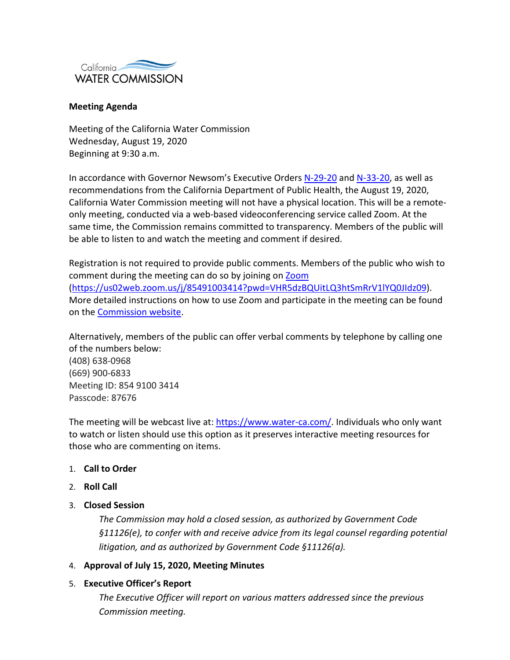

#### **Meeting Agenda**

Meeting of the California Water Commission Wednesday, August 19, 2020 Beginning at 9:30 a.m.

In accordance with Governor Newsom's Executive Orders [N-29-20](https://gcc02.safelinks.protection.outlook.com/?url=https%3A%2F%2Fwww.gov.ca.gov%2Fwp-content%2Fuploads%2F2020%2F03%2F3.17.20-N-29-20-EO.pdf&data=02%7C01%7C%7C7f270e9e9b87429ba14008d7ebc4fe6c%7Cb71d56524b834257afcd7fd177884564%7C0%7C0%7C637237103625072783&sdata=tElsUTnAOrirGIG2bu1MwYhsMN65mLErebr%2B2%2BgnVOU%3D&reserved=0) and [N-33-20,](https://gcc02.safelinks.protection.outlook.com/?url=https%3A%2F%2Fwww.gov.ca.gov%2Fwp-content%2Fuploads%2F2020%2F03%2F3.19.20-attested-EO-N-33-20-COVID-19-HEALTH-ORDER.pdf&data=02%7C01%7C%7C7f270e9e9b87429ba14008d7ebc4fe6c%7Cb71d56524b834257afcd7fd177884564%7C0%7C0%7C637237103625077771&sdata=u1GtrpQnZZobNUopiO9i3fRl6uSpVIJo8XZFXXZRAys%3D&reserved=0) as well as recommendations from the California Department of Public Health, the August 19, 2020, California Water Commission meeting will not have a physical location. This will be a remoteonly meeting, conducted via a web-based videoconferencing service called Zoom. At the same time, the Commission remains committed to transparency. Members of the public will be able to listen to and watch the meeting and comment if desired.

Registration is not required to provide public comments. Members of the public who wish to comment during the meeting can do so by joining on [Zoom](https://us02web.zoom.us/j/85491003414?pwd=VHR5dzBQUitLQ3htSmRrV1lYQ0JIdz09) [\(https://us02web.zoom.us/j/85491003414?pwd=VHR5dzBQUitLQ3htSmRrV1lYQ0JIdz09\)](https://us02web.zoom.us/j/85491003414?pwd=VHR5dzBQUitLQ3htSmRrV1lYQ0JIdz09). More detailed instructions on how to use Zoom and participate in the meeting can be found on the [Commission website.](https://cwc.ca.gov/-/media/CWC-Website/Files/Documents/2020/08_August/August2020_PublicParticipation.pdf)

Alternatively, members of the public can offer verbal comments by telephone by calling one of the numbers below:

(408) 638-0968 (669) 900-6833 Meeting ID: 854 9100 3414 Passcode: 87676

The meeting will be webcast live at: [https://www.water-ca.com/.](https://www.water-ca.com/) Individuals who only want to watch or listen should use this option as it preserves interactive meeting resources for those who are commenting on items.

#### 1. **Call to Order**

- 2. **Roll Call**
- 3. **Closed Session**

*The Commission may hold a closed session, as authorized by Government Code §11126(e), to confer with and receive advice from its legal counsel regarding potential litigation, and as authorized by Government Code §11126(a).*

#### 4. **Approval of July 15, 2020, Meeting Minutes**

#### 5. **Executive Officer's Report**

*The Executive Officer will report on various matters addressed since the previous Commission meeting.*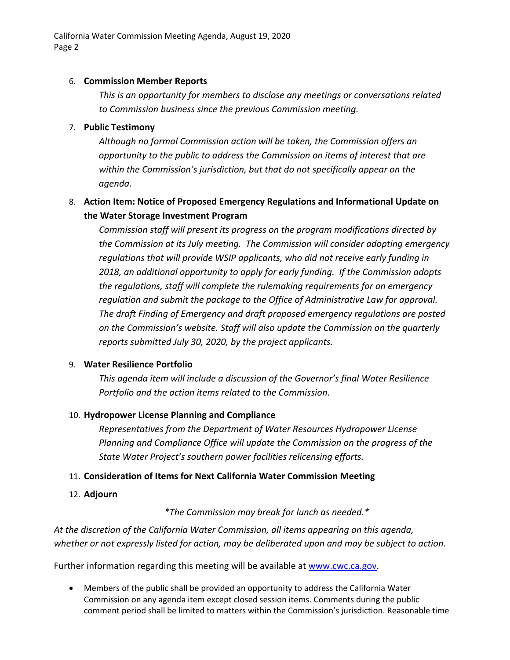### 6. **Commission Member Reports**

*This is an opportunity for members to disclose any meetings or conversations related to Commission business since the previous Commission meeting.*

## 7. **Public Testimony**

*Although no formal Commission action will be taken, the Commission offers an opportunity to the public to address the Commission on items of interest that are within the Commission's jurisdiction, but that do not specifically appear on the agenda.*

# 8. **Action Item: Notice of Proposed Emergency Regulations and Informational Update on the Water Storage Investment Program**

*Commission staff will present its progress on the program modifications directed by the Commission at its July meeting. The Commission will consider adopting emergency regulations that will provide WSIP applicants, who did not receive early funding in 2018, an additional opportunity to apply for early funding. If the Commission adopts the regulations, staff will complete the rulemaking requirements for an emergency regulation and submit the package to the Office of Administrative Law for approval. The draft Finding of Emergency and draft proposed emergency regulations are posted on the Commission's website. Staff will also update the Commission on the quarterly reports submitted July 30, 2020, by the project applicants.*

## 9. **Water Resilience Portfolio**

*This agenda item will include a discussion of the Governor's final Water Resilience Portfolio and the action items related to the Commission.* 

## 10. **Hydropower License Planning and Compliance**

*Representatives from the Department of Water Resources Hydropower License Planning and Compliance Office will update the Commission on the progress of the State Water Project's southern power facilities relicensing efforts.*

## 11. **Consideration of Items for Next California Water Commission Meeting**

12. **Adjourn** 

*\*The Commission may break for lunch as needed.\**

*At the discretion of the California Water Commission, all items appearing on this agenda, whether or not expressly listed for action, may be deliberated upon and may be subject to action.* 

Further information regarding this meeting will be available at [www.cwc.ca.gov.](http://www.cwc.ca.gov/)

• Members of the public shall be provided an opportunity to address the California Water Commission on any agenda item except closed session items. Comments during the public comment period shall be limited to matters within the Commission's jurisdiction. Reasonable time